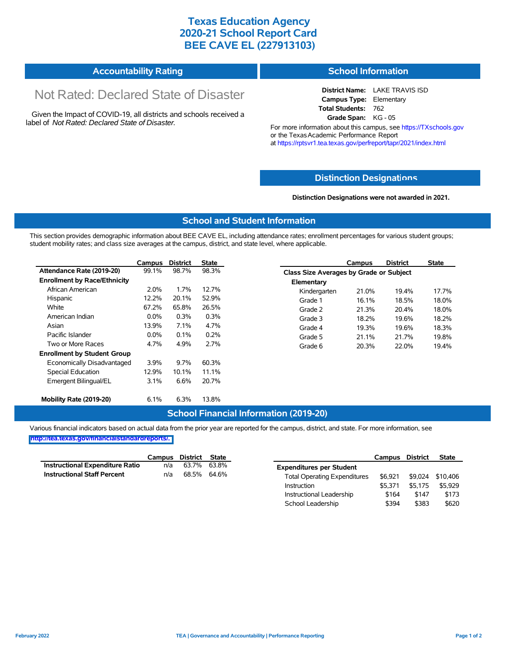## **Texas Education Agency 2020-21 School Report Card BEE CAVE EL (227913103)**

#### **Accountability Rating School Information**

# Not Rated: Declared State of Disaster

Given the Impact of COVID-19, all districts and schools received a label of *Not Rated: Declared State of Disaster.*

#### **District Name:** LAKE TRAVIS ISD **Campus Type:** Elementary **Total Students:** 762

**Grade Span:** KG - 05 For more information about this campus, see https://TXschools.gov or the Texas Academic Performance Report at https://rptsvr1.tea.texas.gov/perfreport/tapr/2021/index.html

#### **Distinction Designat[ions](https://TXschools.gov)**

**Distinction Designations were not awarded in 2021.**

School Leadership  $$394$  \$383 \$620

#### **School and Student Information**

This section provides demographic information about BEE CAVE EL, including attendance rates; enrollment percentages for various student groups; student mobility rates; and class size averages at the campus, district, and state level, where applicable.

|                                     | Campus  | <b>District</b> | <b>State</b> |              | Campus                                  | <b>District</b> | <b>State</b> |  |  |  |
|-------------------------------------|---------|-----------------|--------------|--------------|-----------------------------------------|-----------------|--------------|--|--|--|
| Attendance Rate (2019-20)           | 99.1%   | 98.7%           | 98.3%        |              | Class Size Averages by Grade or Subject |                 |              |  |  |  |
| <b>Enrollment by Race/Ethnicity</b> |         |                 |              | Elementary   |                                         |                 |              |  |  |  |
| African American                    | 2.0%    | 1.7%            | 12.7%        | Kindergarten | 21.0%                                   | 19.4%           | 17.7%        |  |  |  |
| Hispanic                            | 12.2%   | 20.1%           | 52.9%        | Grade 1      | 16.1%                                   | 18.5%           | 18.0%        |  |  |  |
| White                               | 67.2%   | 65.8%           | 26.5%        | Grade 2      | 21.3%                                   | 20.4%           | 18.0%        |  |  |  |
| American Indian                     | $0.0\%$ | 0.3%            | 0.3%         | Grade 3      | 18.2%                                   | 19.6%           | 18.2%        |  |  |  |
| Asian                               | 13.9%   | 7.1%            | 4.7%         | Grade 4      | 19.3%                                   | 19.6%           | 18.3%        |  |  |  |
| Pacific Islander                    | $0.0\%$ | $0.1\%$         | 0.2%         | Grade 5      | 21.1%                                   | 21.7%           | 19.8%        |  |  |  |
| Two or More Races                   | 4.7%    | 4.9%            | 2.7%         | Grade 6      | 20.3%                                   | 22.0%           | 19.4%        |  |  |  |
| <b>Enrollment by Student Group</b>  |         |                 |              |              |                                         |                 |              |  |  |  |
| Economically Disadvantaged          | 3.9%    | $9.7\%$         | 60.3%        |              |                                         |                 |              |  |  |  |
| Special Education                   | 12.9%   | 10.1%           | 11.1%        |              |                                         |                 |              |  |  |  |
| Emergent Bilingual/EL               | $3.1\%$ | 6.6%            | 20.7%        |              |                                         |                 |              |  |  |  |
|                                     |         |                 |              |              |                                         |                 |              |  |  |  |
| Mobility Rate (2019-20)             | 6.1%    | 6.3%            | 13.8%        |              |                                         |                 |              |  |  |  |

#### **School Financial Information (2019-20)**

Various financial indicators based on actual data from the prior year are reported for the campus, district, and state. For more information, see

**[http://tea.texas.gov/financialstandardreports/.](http://tea.texas.gov/financialstandardreports/)**

|                                    | Campus | District | State |                                     | Campus  | <b>District</b> | <b>State</b> |
|------------------------------------|--------|----------|-------|-------------------------------------|---------|-----------------|--------------|
| Instructional Expenditure Ratio    | n/a    | 63.7%    | 63.8% | <b>Expenditures per Student</b>     |         |                 |              |
| <b>Instructional Staff Percent</b> | n/a    | 68.5%    | 64.6% | <b>Total Operating Expenditures</b> | \$6.921 | \$9.024         | \$10.406     |
|                                    |        |          |       | Instruction                         | \$5.371 | \$5.175         | \$5.929      |
|                                    |        |          |       | Instructional Leadership            | \$164   | \$147           | \$173        |